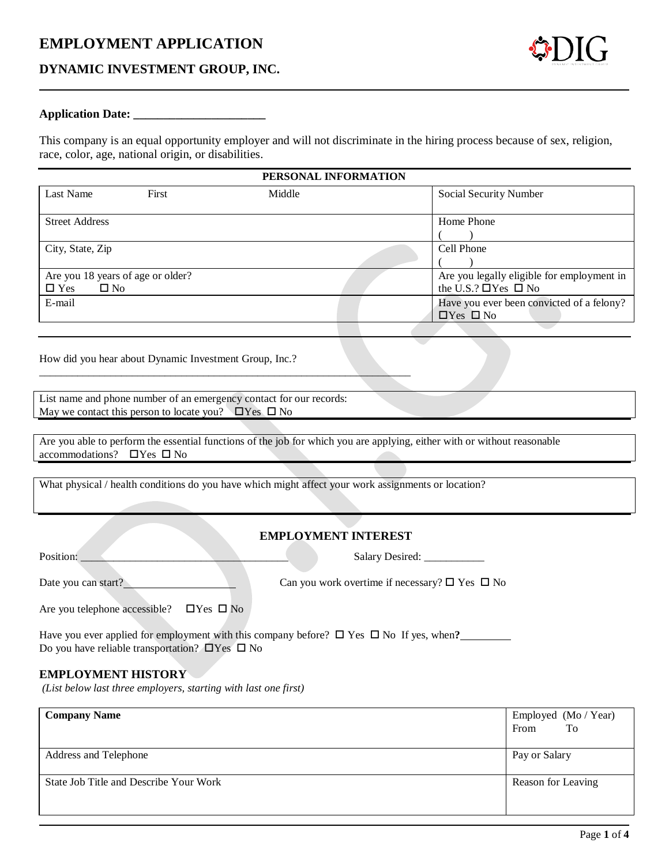## **EMPLOYMENT APPLICATION**

#### **DYNAMIC INVESTMENT GROUP, INC.**

#### **Application Date: \_\_\_\_\_\_\_\_\_\_\_\_\_\_\_\_\_\_\_\_\_\_**

This company is an equal opportunity employer and will not discriminate in the hiring process because of sex, religion, race, color, age, national origin, or disabilities.

| PERSONAL INFORMATION                                            |       |        |  |                                                                              |
|-----------------------------------------------------------------|-------|--------|--|------------------------------------------------------------------------------|
| Last Name                                                       | First | Middle |  | Social Security Number                                                       |
| <b>Street Address</b>                                           |       |        |  | Home Phone                                                                   |
| City, State, Zip                                                |       |        |  | Cell Phone                                                                   |
| Are you 18 years of age or older?<br>$\Box$ Yes<br>$\square$ No |       |        |  | Are you legally eligible for employment in<br>the U.S.? $\Box$ Yes $\Box$ No |
| E-mail                                                          |       |        |  | Have you ever been convicted of a felony?<br>$\Box$ Yes $\Box$ No            |

How did you hear about Dynamic Investment Group, Inc.?

List name and phone number of an emergency contact for our records: May we contact this person to locate you?  $\Box$  Yes  $\Box$  No

 $\overline{\phantom{a}}$  ,  $\overline{\phantom{a}}$  ,  $\overline{\phantom{a}}$  ,  $\overline{\phantom{a}}$  ,  $\overline{\phantom{a}}$  ,  $\overline{\phantom{a}}$  ,  $\overline{\phantom{a}}$  ,  $\overline{\phantom{a}}$  ,  $\overline{\phantom{a}}$  ,  $\overline{\phantom{a}}$  ,  $\overline{\phantom{a}}$  ,  $\overline{\phantom{a}}$  ,  $\overline{\phantom{a}}$  ,  $\overline{\phantom{a}}$  ,  $\overline{\phantom{a}}$  ,  $\overline{\phantom{a}}$ 

Are you able to perform the essential functions of the job for which you are applying, either with or without reasonable accommodations?  $\Box$  Yes  $\Box$  No

What physical / health conditions do you have which might affect your work assignments or location?

#### **EMPLOYMENT INTEREST**

Position: \_\_\_\_\_\_\_\_\_\_\_\_\_\_\_\_\_\_\_\_\_\_\_\_\_\_\_\_\_\_\_\_\_\_\_\_\_\_ Salary Desired: \_\_\_\_\_\_\_\_\_\_\_

Date you can start? Can you work overtime if necessary?  $\square$  Yes  $\square$  No

Are you telephone accessible?  $\Box$  Yes  $\Box$  No

Have you ever applied for employment with this company before?  $\Box$  Yes  $\Box$  No If yes, when? Do you have reliable transportation?  $\Box$  Yes  $\Box$  No

#### **EMPLOYMENT HISTORY**

*(List below last three employers, starting with last one first)*

| <b>Company Name</b>                    | Employed (Mo / Year)<br>To<br>From |
|----------------------------------------|------------------------------------|
| Address and Telephone                  | Pay or Salary                      |
| State Job Title and Describe Your Work | Reason for Leaving                 |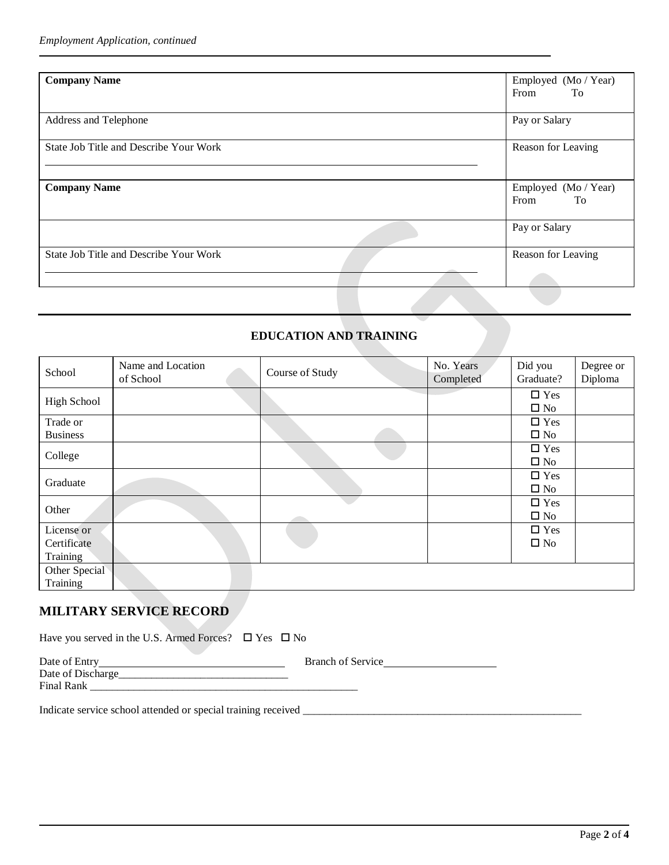| <b>Company Name</b>                    | Employed (Mo / Year)<br>From<br><b>To</b>                                                                            |
|----------------------------------------|----------------------------------------------------------------------------------------------------------------------|
| Address and Telephone                  | Pay or Salary                                                                                                        |
| State Job Title and Describe Your Work | Reason for Leaving                                                                                                   |
| <b>Company Name</b>                    | Employed (Mo / Year)<br>From<br><b>To</b>                                                                            |
|                                        | Pay or Salary                                                                                                        |
| State Job Title and Describe Your Work | Reason for Leaving<br>$\frac{1}{2} \left( \frac{1}{2} \right) \left( \frac{1}{2} \right) \left( \frac{1}{2} \right)$ |
|                                        |                                                                                                                      |

### **EDUCATION AND TRAINING**

| School                                | Name and Location<br>of School | Course of Study | No. Years<br>Completed | Did you<br>Graduate?          | Degree or<br>Diploma |
|---------------------------------------|--------------------------------|-----------------|------------------------|-------------------------------|----------------------|
| <b>High School</b>                    |                                |                 |                        | $\square$ Yes<br>$\square$ No |                      |
| Trade or<br><b>Business</b>           |                                |                 |                        | $\square$ Yes<br>$\square$ No |                      |
| College                               |                                |                 |                        | $\square$ Yes<br>$\square$ No |                      |
| Graduate                              |                                |                 |                        | $\square$ Yes<br>$\square$ No |                      |
| Other                                 |                                |                 |                        | $\square$ Yes<br>$\square$ No |                      |
| License or<br>Certificate<br>Training |                                |                 |                        | $\square$ Yes<br>$\square$ No |                      |
| Other Special<br>Training             |                                |                 |                        |                               |                      |

# **MILITARY SERVICE RECORD**

| Date of Entry     | <b>Branch of Service</b> |
|-------------------|--------------------------|
| Date of Discharge |                          |
| <b>Final Rank</b> |                          |

Indicate service school attended or special training received \_\_\_\_\_\_\_\_\_\_\_\_\_\_\_\_\_\_\_\_\_\_\_\_\_\_\_\_\_\_\_\_\_\_\_\_\_\_\_\_\_\_\_\_\_\_\_\_\_\_\_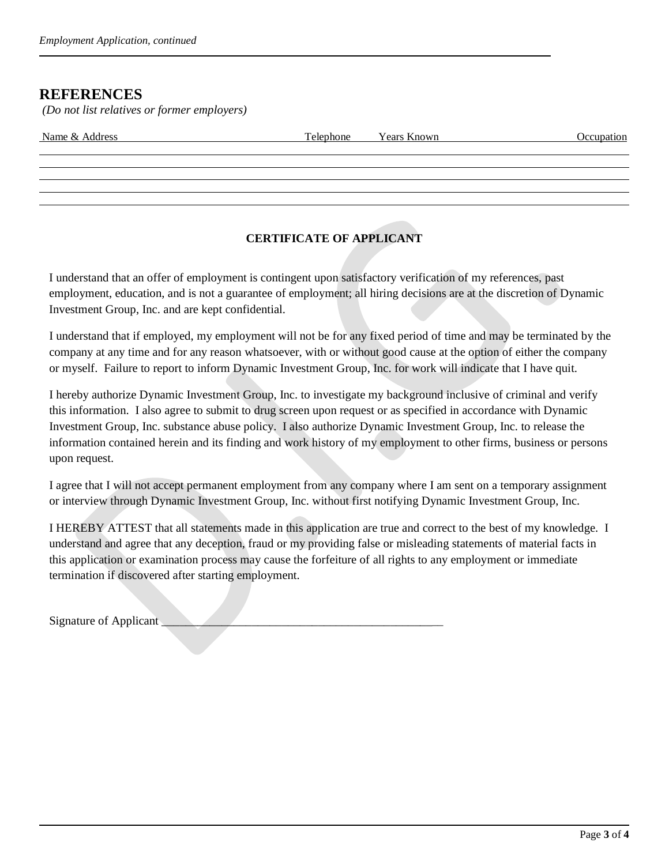## **REFERENCES**

*(Do not list relatives or former employers)*

| Name & Address | Telephone Years Known | Occupation |
|----------------|-----------------------|------------|
|                |                       |            |
|                |                       |            |
|                |                       |            |

### **CERTIFICATE OF APPLICANT**

I understand that an offer of employment is contingent upon satisfactory verification of my references, past employment, education, and is not a guarantee of employment; all hiring decisions are at the discretion of Dynamic Investment Group, Inc. and are kept confidential.

I understand that if employed, my employment will not be for any fixed period of time and may be terminated by the company at any time and for any reason whatsoever, with or without good cause at the option of either the company or myself. Failure to report to inform Dynamic Investment Group, Inc. for work will indicate that I have quit.

I hereby authorize Dynamic Investment Group, Inc. to investigate my background inclusive of criminal and verify this information. I also agree to submit to drug screen upon request or as specified in accordance with Dynamic Investment Group, Inc. substance abuse policy. I also authorize Dynamic Investment Group, Inc. to release the information contained herein and its finding and work history of my employment to other firms, business or persons upon request.

I agree that I will not accept permanent employment from any company where I am sent on a temporary assignment or interview through Dynamic Investment Group, Inc. without first notifying Dynamic Investment Group, Inc.

I HEREBY ATTEST that all statements made in this application are true and correct to the best of my knowledge. I understand and agree that any deception, fraud or my providing false or misleading statements of material facts in this application or examination process may cause the forfeiture of all rights to any employment or immediate termination if discovered after starting employment.

Signature of Applicant